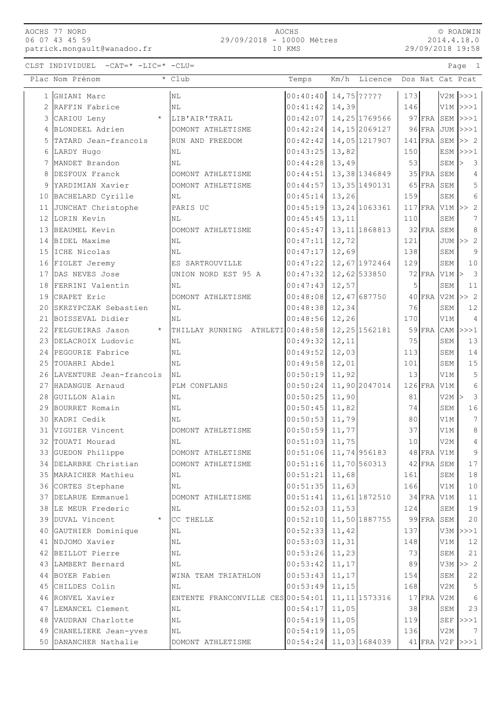| AOCHS 77 NORD  |  |                             |
|----------------|--|-----------------------------|
| 06 07 43 45 59 |  |                             |
|                |  | patrick.mongault@wanadoo.fr |

AOCHS 29/09/2018 - 10000 Mètres 10 KMS

© ROADWIN 2014.4.18.0 29/09/2018 19:58

CLST INDIVIDUEL -CAT=\* -LIC=\* -CLU= Page 1

|    | Plac Nom Prénom                               | * Club                            | Temps                               |                | Km/h Licence Dos Nat Cat Pcat |            |              |                             |                       |
|----|-----------------------------------------------|-----------------------------------|-------------------------------------|----------------|-------------------------------|------------|--------------|-----------------------------|-----------------------|
|    | 1 GHIANI Marc                                 | $\rm NL$                          | 00:40:40                            |                | 14,75 ?????                   | 173        |              |                             | $V2M$ $>>$ $1$        |
|    | 2 RAFFIN Fabrice                              | NL                                | 00:41:42                            | 14,39          |                               | 146        |              |                             | $V1M$ $>>$ $1$        |
|    | $\star$<br>3 CARIOU Leny                      | LIB'AIR'TRAIL                     | 00:42:07                            |                | 14, 25 1769566                |            | $97$ FRA     |                             | $SEM$ $>>1$           |
|    | 4 BLONDEEL Adrien                             | DOMONT ATHLETISME                 | 00:42:24                            |                | 14, 15 2069127                |            | $96$ FRA     |                             | $JUM$ $>>$ $1$        |
|    | 5 TATARD Jean-francois                        | RUN AND FREEDOM                   | 00:42:42                            |                | 14,05 1217907                 |            | $141$ FRA    |                             | $SEM \gg 2$           |
|    | 6 LARDY Hugo                                  | ΝL                                | 00:43:25                            | 13,82          |                               | 150        |              |                             | $ESM$ $>>$ $1$        |
|    | 7 MANDET Brandon                              | NL                                | 00:44:28                            | 13,49          |                               | 53         |              | SEM                         | 3<br>$\triangleright$ |
|    | 8 DESFOUX Franck                              | DOMONT ATHLETISME                 | 00:44:51                            |                | 13,38 1346849                 |            | $35$ FRA     | SEM                         | 4                     |
|    | 9 YARDIMIAN Xavier                            | DOMONT ATHLETISME                 | 00:44:57                            |                | 13, 35 1490131                |            | $65$ FRA     | SEM                         | 5                     |
|    | 10 BACHELARD Cyrille                          | ΝL                                | 00:45:14                            | 13,26          |                               | 159        |              | SEM                         | 6                     |
|    | 11 JUNCHAT Christophe                         | PARIS UC                          | 00:45:19                            |                | 13, 24 1063361                |            |              | $117$ FRA V1M $\rightarrow$ | $\overline{c}$        |
|    | 12 LORIN Kevin                                | NL                                | 00:45:45                            | 13,11          |                               | 110        |              | SEM                         | 7                     |
|    | 13 BEAUMEL Kevin                              | DOMONT ATHLETISME                 | 00:45:47                            |                | 13, 11 1868813                |            | $32$ FRA     | SEM                         | 8                     |
|    | 14 BIDEL Maxime                               | NL                                | 00:47:11                            | 12,72          |                               | 121        |              |                             | JUM $ >> 2$           |
|    | 15 ICHE Nicolas                               | ΝL                                | 00:47:17                            | 12,69          |                               | 138        |              | SEM                         | 9                     |
|    | 16 FIOLET Jeremy                              | ES SARTROUVILLE                   | 00:47:22                            |                | 12,67 1972464                 | 129        |              | SEM                         | 10                    |
|    | 17 DAS NEVES Jose                             | UNION NORD EST 95 A               | 00:47:32                            |                | 12,62 533850                  |            | $72$ FRA     | $V1M$ >                     | 3                     |
|    | 18 FERRINI Valentin                           | NL                                | 00:47:43                            | 12,57          |                               | 5          |              | SEM                         | 11                    |
|    | 19 CRAPET Eric                                | DOMONT ATHLETISME                 | 00:48:08                            |                | 12,47 687750                  |            | $40$ FRA     |                             | $V2M \geq 2$          |
|    | 20 SKRZYPCZAK Sebastien                       | NL                                | 00:48:38                            | 12,34          |                               | 76         |              | SEM                         | 12                    |
|    | 21 BOISSEVAL Didier                           | ΝL                                | 00:48:56                            | 12, 26         |                               | 170        |              | V1M                         | $\overline{4}$        |
| 22 | FELGUEIRAS Jason<br>$\star$                   | THILLAY RUNNING ATHLETI00:48:58   |                                     |                | 12, 25 1562181                |            | $59$ FRA     | CAM                         | >>>1                  |
|    | 23 DELACROIX Ludovic                          | NL                                | 00:49:32                            | 12,11          |                               | 75         |              | SEM                         | 13                    |
|    | 24 PEGOURIE Fabrice                           | NL                                | 00:49:52                            | 12,03          |                               | 113        |              | SEM                         | 14                    |
|    | 25 TOUAHRI Abdel                              | NL                                | 00:49:58                            | 12,01          |                               | 101        |              | SEM                         | 15                    |
|    | 26 LAVENTURE Jean-francois                    | NL                                | 00:50:19                            | 11,92          |                               | 13         |              | V1M                         | 5                     |
|    | 27 HADANGUE Arnaud                            | PLM CONFLANS                      | 00:50:24                            |                | 11,90 2047014                 |            | $126$ FRA    | V1M                         | 6                     |
|    | 28 GUILLON Alain                              | NL                                | 00:50:25                            | 11,90          |                               | 81         |              | $V2M$ >                     | 3                     |
|    | 29 BOURRET Romain                             | NL                                | 00:50:45                            | 11,82          |                               | 74         |              | SEM                         | 16                    |
|    | 30 KADRI Cedik                                | ΝL                                | 00:50:53                            | 11,79          |                               | 80         |              | V1M                         | $\boldsymbol{7}$      |
|    | 31 VIGUIER Vincent                            | DOMONT ATHLETISME                 | 00:50:59                            | 11,77          |                               | 37         |              | V1M                         | 8                     |
|    | 32 TOUATI Mourad                              | NL                                | 00:51:03                            | 11,75          |                               | 10         |              | V2M                         | 4<br>9                |
|    | 33 GUEDON Philippe                            | DOMONT ATHLETISME                 | $00:51:06$ 11,74 956183             |                |                               |            |              | $48$ FRA V1M                |                       |
|    | 34 DELARBRE Christian<br>35 MARAICHER Mathieu | DOMONT ATHLETISME                 | $00:51:16$ 11,70 560313<br>00:51:21 |                |                               |            | $42$ FRA SEM |                             | 17                    |
|    | 36 CORTES Stephane                            | NL                                |                                     | 11,68<br>11,63 |                               | 161<br>166 |              | SEM                         | 18<br>10              |
|    | 37 DELARUE Emmanuel                           | ΝL<br>DOMONT ATHLETISME           | 00:51:35<br>00:51:41                |                | 11,61 1872510                 |            | $34$ FRA V1M | V1M                         | 11                    |
|    | 38 LE MEUR Frederic                           | ΝL                                | 00:52:03                            | 11,53          |                               | 124        |              | SEM                         | 19                    |
|    | 39 DUVAL Vincent                              | $\star$ CC THELLE                 | 00:52:10                            |                | 11,50 1887755                 |            | 99 FRA SEM   |                             | 20                    |
|    | 40 GAUTHIER Dominique                         | NL                                | 00:52:33                            | 11,42          |                               | 137        |              |                             | $V3M$ $>>1$           |
|    | 41 NDJOMO Xavier                              | NL                                | 00:53:03                            | 11,31          |                               | 148        |              | V1M                         | 12                    |
|    | 42 BEILLOT Pierre                             | $\rm NL$                          | 00:53:26                            | 11,23          |                               | 73         |              | SEM                         | 21                    |
|    | 43 LAMBERT Bernard                            | N <sub>L</sub>                    | 00:53:42                            | 11,17          |                               | 89         |              |                             | $V3M \geq 2$          |
|    | 44 BOYER Fabien                               | WINA TEAM TRIATHLON               | 00:53:43                            | 11,17          |                               | 154        |              | SEM                         | 22                    |
|    | 45 CHILDES Colin                              | NL                                | 00:53:49                            | 11,15          |                               | 168        |              | V2M                         | $\mathsf S$           |
|    | 46 RONVEL Xavier                              | ENTENTE FRANCONVILLE CES 00:54:01 |                                     |                | 11, 11 1573316                |            |              | $17$ FRA V2M                | 6                     |
|    | 47 LEMANCEL Clement                           | ΝL                                | 00:54:17                            | 11,05          |                               | 38         |              | SEM                         | 23                    |
|    | 48 VAUDRAN Charlotte                          | $\rm NL$                          | 00:54:19                            | 11,05          |                               | 119        |              |                             | $SEF$ $>>$ $1$        |
|    | 49 CHANELIERE Jean-yves                       | ΝL                                | 00:54:19                            | 11,05          |                               | 136        |              | V2M                         | $7\phantom{.0}$       |
|    | 50 DANANCHER Nathalie                         | DOMONT ATHLETISME                 | 00:54:24                            |                | 11,03 1684039                 |            |              |                             | $41$ FRA V2F >>>1     |
|    |                                               |                                   |                                     |                |                               |            |              |                             |                       |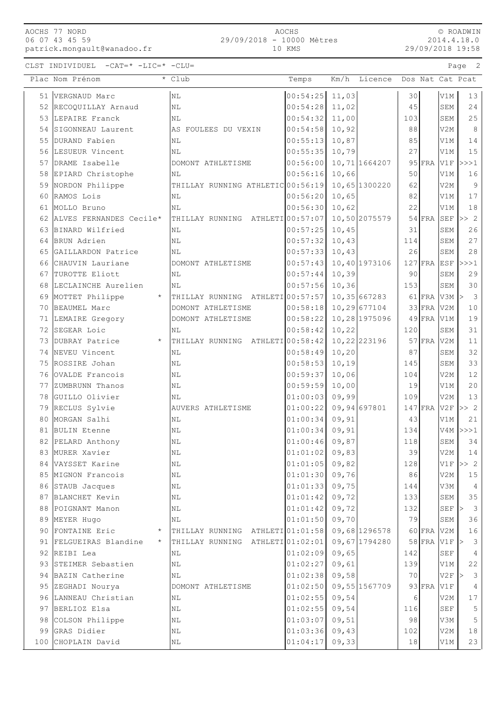## AOCHS 77 NORD 06 07 43 45 59

patrick.mongault@wanadoo.fr

## AOCHS 29/09/2018 - 10000 Mètres 10 KMS

2014.4.18.0 29/09/2018 19:58

| $-CAT = * -LIC = * -C$<br>CLST INDIVIDUEL<br>$\sim$ $\sim$ $\sim$ $\sim$ $\sim$ $\sim$<br>Page |  |  |
|------------------------------------------------------------------------------------------------|--|--|
|------------------------------------------------------------------------------------------------|--|--|

|    | Plac Nom Prénom                   | * Club                            | Temps                | Km/h           | Licence       |           |               |                 | Dos Nat Cat Pcat     |
|----|-----------------------------------|-----------------------------------|----------------------|----------------|---------------|-----------|---------------|-----------------|----------------------|
|    | 51 VERGNAUD Marc                  | N <sub>L</sub>                    | 00:54:25             | 11,03          |               | 30        |               | V1M             | 13                   |
|    | 52 RECOQUILLAY Arnaud             | N <sub>L</sub>                    | 00:54:28             | 11,02          |               | 45        |               | SEM             | 24                   |
|    | 53 LEPAIRE Franck                 | NL                                | 00:54:32             | 11,00          |               | 103       |               | SEM             | 25                   |
| 54 | SIGONNEAU Laurent                 | AS FOULEES DU VEXIN               | 00:54:58             | 10,92          |               | 88        |               | V2M             | 8                    |
| 55 | DURAND Fabien                     | NL                                | 00:55:13             | 10,87          |               | 85        |               | V1M             | 14                   |
|    | 56 LESUEUR Vincent                | N <sub>L</sub>                    | 00:55:35             | 10,79          |               | 27        |               | V1M             | 15                   |
|    | 57 DRAME Isabelle                 | DOMONT ATHLETISME                 | 00:56:00             |                | 10,71 1664207 |           | $95$ $FRA$    | V1F             | >>>1                 |
| 58 | EPIARD Christophe                 | NL                                | 00:56:16             | 10,66          |               | 50        |               | V1M             | 16                   |
| 59 | NORDON Philippe                   | THILLAY RUNNING ATHLETIC 00:56:19 |                      |                | 10,65 1300220 | 62        |               | V2M             | $\overline{9}$       |
| 60 | RAMOS Lois                        | NL                                | 00:56:20             | 10,65          |               | 82        |               | V1M             | $17$                 |
| 61 | MOLLO Bruno                       | N <sub>L</sub>                    | 00:56:30             | 10,62          |               | 22        |               | V1M             | 18                   |
|    | 62 ALVES FERNANDES Cecile*        | THILLAY RUNNING ATHLETI 00:57:07  |                      |                | 10,50 2075579 |           | $54$ FRA      | SEF             | >> 2                 |
| 63 | BINARD Wilfried                   | NL                                | 00:57:25             | 10,45          |               | 31        |               | <b>SEM</b>      | 26                   |
| 64 | BRUN Adrien                       | N <sub>L</sub>                    | 00:57:32             | 10,43          |               | 114       |               | SEM             | 27                   |
| 65 | GAILLARDON Patrice                | NL                                | 00:57:33             | 10,43          |               | 26        |               | SEM             | 28                   |
| 66 | CHAUVIN Lauriane                  | DOMONT ATHLETISME                 | 00:57:43             |                | 10,40 1973106 |           | $127$ FRA ESF |                 | >>>1                 |
|    | 67 TUROTTE Eliott                 | NL                                | 00:57:44             | 10,39          |               | 90        |               | SEM             | 29                   |
| 68 | LECLAINCHE Aurelien               | NL                                | 00:57:56             | 10,36          |               | 153       |               | ${\tt SEM}$     | 30                   |
| 69 | MOTTET Philippe                   | THILLAY RUNNING ATHLETI 00:57:57  |                      |                | 10,35 667283  |           | 61 FRA V3M    |                 | $\overline{3}$<br> > |
| 70 | BEAUMEL Marc                      | DOMONT ATHLETISME                 | 00:58:18             |                | 10,29 677104  |           | $33$ FRA      | V <sub>2M</sub> | $10$                 |
|    | 71 LEMAIRE Gregory                | DOMONT ATHLETISME                 | 00:58:22             |                | 10,28 1975096 |           | $49$ FRA V1M  |                 | 19                   |
|    | 72 SEGEAR Loic                    | NL                                | 00:58:42             | 10,22          |               | 120       |               | <b>SEM</b>      | 31                   |
|    | 73 DUBRAY Patrice<br>$\star$      | THILLAY RUNNING ATHLETI 00:58:42  |                      |                | 10,22 223196  |           | $57$ FRA      | V2M             | 11                   |
|    | 74 NEVEU Vincent                  | NL                                | 00:58:49             | 10,20          |               | 87        |               | SEM             | 32                   |
|    | 75 ROSSIRE Johan                  | ΝL                                | 00:58:53             | 10,19          |               | 145       |               | SEM             | 33                   |
|    | 76 OVALDE Francois                | ΝL                                | 00:59:37             | 10,06          |               | 104       |               | V2M             | 12                   |
|    | 77 ZUMBRUNN Thanos                | ΝL                                | 00:59:59             | 10,00          |               | 19        |               | V1M             | 20                   |
| 78 | GUILLO Olivier                    | NL                                | 01:00:03             | 09,99          |               | 109       |               | V2M             | 13                   |
| 79 | RECLUS Sylvie                     | AUVERS ATHLETISME                 | 01:00:22             |                | 09,94 697801  |           | $147$ FRA     | V2F             | >> 2                 |
| 80 | MORGAN Salhi                      | NL                                | 01:00:34<br>01:00:34 | 09,91<br>09,91 |               | 43<br>134 |               | V1M<br>V4M      | 21<br>>>>1           |
|    | 81 BULIN Etenne                   | NL<br>NL                          | 01:00:46             | 09,87          |               | 118       |               | SEM             | 34                   |
| 83 | 82 PELARD Anthony                 |                                   | 01:01:02             | 09,83          |               | 39        |               | V2M             | 14                   |
| 84 | MURER Xavier<br>VAYSSET Karine    | ΝL<br>NL                          | 01:01:05             | 09,82          |               | 128       |               | V1F             | >> 2                 |
|    | 85 MIGNON Francois                | NL                                | 01:01:30             | 09,76          |               | 86        |               | V2M             | $15$                 |
|    | 86 STAUB Jacques                  | ΝL                                | 01:01:33             | 09,75          |               | 144       |               | V3M             | $\overline{4}$       |
|    | 87 BLANCHET Kevin                 | ΝL                                | 01:01:42             | 09,72          |               | 133       |               | SEM             | 35                   |
|    | 88 POIGNANT Manon                 | NL                                | 01:01:42             | 09,72          |               | 132       |               | SEF             | $\mathcal{E}$<br> >  |
|    | 89 MEYER Hugo                     | NL                                | 01:01:50             | 09,70          |               | 79        |               | SEM             | 36                   |
|    | 90 FONTAINE Eric                  | THILLAY RUNNING ATHLETI 01:01:58  |                      |                | 09,68 1296578 |           | $60$ FRA      | V2M             | 16                   |
|    | 91 FELGUEIRAS Blandine<br>$\star$ | THILLAY RUNNING ATHLETI 01:02:01  |                      |                | 09,67 1794280 |           | 58 FRA V1F    |                 | 3                    |
|    | 92 REIBI Lea                      | ΝL                                | 01:02:09             | 09,65          |               | 142       |               | <b>SEF</b>      | 4                    |
|    | 93 STEIMER Sebastien              | NL                                | 01:02:27             | 09,61          |               | 139       |               | V1M             | 22                   |
| 94 | BAZIN Catherine                   | NL                                | 01:02:38             | 09,58          |               | 70        |               | V2F             | 3                    |
|    | 95 ZEGHADI Nourya                 | DOMONT ATHLETISME                 | 01:02:50             |                | 09,55 1567709 |           | $93$ FRA      | V1F             | 4                    |
|    | 96 LANNEAU Christian              | N <sub>L</sub>                    | 01:02:55             | 09,54          |               | 6         |               | V2M             | $17$                 |
|    | 97 BERLIOZ Elsa                   | N <sub>L</sub>                    | 01:02:55             | 09,54          |               | 116       |               | <b>SEF</b>      | 5                    |
|    | 98 COLSON Philippe                | NL                                | 01:03:07             | 09,51          |               | 98        |               | V3M             | 5                    |
| 99 | GRAS Didier                       | NL                                | 01:03:36             | 09,43          |               | 102       |               | V2M             | 18                   |
|    | 100 CHOPLAIN David                | ΝL                                | 01:04:17             | 09,33          |               | 18        |               | V1M             | 23                   |

© ROADWIN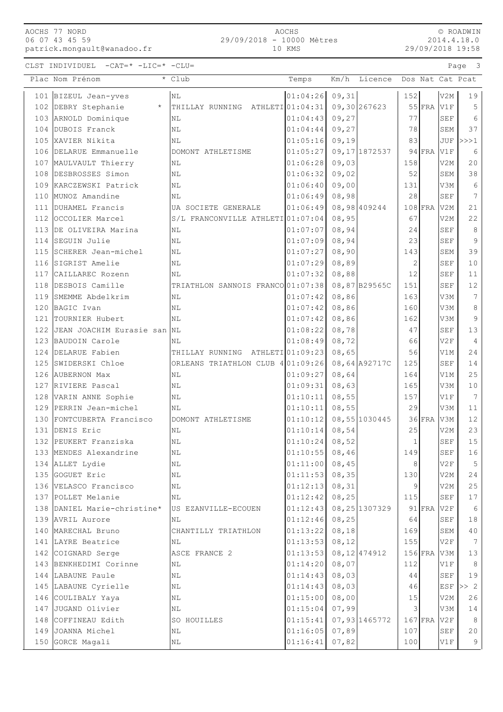## AOCHS 77 NORD 06 07 43 45 59 patrick.mongault@wanadoo.fr

CLST INDIVIDUEL -CAT=\* -LIC=\* -CLU= Page 3

|                           | AOCHS  |  |
|---------------------------|--------|--|
| 29/09/2018 - 10000 Mètres |        |  |
|                           | 10 KMS |  |

© ROADWIN 2014.4.18.0 29/09/2018 19:58

| Plac Nom Prénom                             | * Club                                | Temps                | Km/h                   | Licence        |                |           |                   | Dos Nat Cat Pcat |
|---------------------------------------------|---------------------------------------|----------------------|------------------------|----------------|----------------|-----------|-------------------|------------------|
| 101 BIZEUL Jean-yves                        | NL                                    | $01:04:26$ 09,31     |                        |                | 152            |           | V2M               | 19               |
| 102 DEBRY Stephanie<br>$^{\star}$           | THILLAY RUNNING ATHLETI 01:04:31      |                      |                        | 09,30 267623   |                | $55$ FRA  | V1F               | 5                |
| 103 ARNOLD Dominique                        | NL                                    | 01:04:43             | 09, 27                 |                | 77             |           | <b>SEF</b>        | 6                |
| 104 DUBOIS Franck                           | N <sub>L</sub>                        | 01:04:44             | 09, 27                 |                | 78             |           | <b>SEM</b>        | 37               |
| 105 XAVIER Nikita                           | N <sub>L</sub>                        | 01:05:16             | 09,19                  |                | 83             |           |                   | $JUF$ $>>$ $1$   |
| 106 DELARUE Emmanuelle                      | DOMONT ATHLETISME                     | 01:05:27             |                        | 09, 17 1872537 |                | $94$ FRA  | V1F               | 6                |
| 107 MAULVAULT Thierry                       | ΝL                                    | 01:06:28             | 09,03                  |                | 158            |           | V2M               | 20               |
| 108 DESBROSSES Simon                        | NL                                    | 01:06:32             | 09,02                  |                | 52             |           | SEM               | 38               |
| 109 KARCZEWSKI Patrick                      | N <sub>L</sub>                        | 01:06:40             | 09,00                  |                | 131            |           | V3M               | 6                |
| 110 MUNOZ Amandine                          | N <sub>L</sub>                        | 01:06:49             | 08,98                  |                | 28             |           | <b>SEF</b>        | 7                |
| 111 DUHAMEL Francis                         | UA SOCIETE GENERALE                   | 01:06:49             |                        | 08,98 409244   |                | $108$ FRA | V2M               | 21               |
| 112 OCCOLIER Marcel                         | S/L FRANCONVILLE ATHLETI 01:07:04     |                      | 08,95                  |                | 67             |           | V2M               | 22               |
| 113 DE OLIVEIRA Marina                      | N <sub>L</sub>                        | 01:07:07             | 08,94                  |                | 24             |           | <b>SEF</b>        | 8                |
| 114 SEGUIN Julie                            | N <sub>L</sub>                        | 01:07:09             | 08,94                  |                | 23             |           | <b>SEF</b>        | $\overline{9}$   |
| 115 SCHERER Jean-michel                     | NL                                    | 01:07:27             | 08,90                  |                | 143            |           | SEM               | 39               |
| 116 SIGRIST Amelie                          | N <sub>L</sub>                        | 01:07:29             | 08,89                  |                | $\overline{c}$ |           | <b>SEF</b>        | 10               |
| 117 CAILLAREC Rozenn                        | NL                                    | 01:07:32             | 08,88                  |                | 12             |           | <b>SEF</b>        | 11               |
| 118 DESBOIS Camille                         | TRIATHLON SANNOIS FRANCO 01:07:38     |                      |                        | 08,87B29565C   | 151            |           | <b>SEF</b>        | 12               |
| 119 SMEMME Abdelkrim                        | NL                                    | 01:07:42             | 08,86                  |                | 163            |           | V3M               | 7                |
| 120 BAGIC Ivan                              | NL                                    | 01:07:42             | 08,86                  |                | 160            |           | V3M               | 8                |
| 121 TOURNIER Hubert                         | N <sub>L</sub>                        | 01:07:42             | 08,86                  |                | 162            |           | V3M               | $\overline{9}$   |
| 122 JJEAN JOACHIM Eurasie san               | NL                                    | 01:08:22             | 08,78                  |                | 47             |           | <b>SEF</b>        | 13               |
| 123 BAUDOIN Carole                          | N <sub>L</sub>                        | 01:08:49             | 08,72                  |                | 66             |           | V2F               | $\overline{4}$   |
| 124 DELARUE Fabien                          | THILLAY RUNNING                       | ATHLETI 01:09:23     | 08,65                  |                | 56             |           | V1M               | 24               |
| 125 SWIDERSKI Chloe                         | ORLEANS TRIATHLON CLUB 4 01:09:26     |                      |                        | 08,64 A92717C  | 125            |           | <b>SEF</b>        | 14               |
| 126 AUBERNON Max                            | N <sub>L</sub>                        | 01:09:27             | 08,64                  |                | 164            |           | V1M               | 25               |
| 127 RIVIERE Pascal                          | NL                                    | 01:09:31             | 08,63                  |                | 165            |           | V3M               | 10               |
| 128 VARIN ANNE Sophie                       | N <sub>L</sub>                        | 01:10:11             | 08,55                  |                | 157            |           | V1F               | 7                |
| 129 PERRIN Jean-michel                      | N <sub>L</sub>                        | 01:10:11             | 08,55                  |                | 29             |           | V3M               | 11               |
| 130 FONTCUBERTA Francisco                   | DOMONT ATHLETISME                     | 01:10:12             |                        | 08,55 1030445  |                | $36$ FRA  | V3M               | 12               |
| 131 DENIS Eric                              | N <sub>L</sub>                        | 01:10:14             | 08,54                  |                | 25             |           | V2M               | 23               |
| 132 PEUKERT Franziska                       | N <sub>L</sub>                        | 01:10:24             | 08,52                  |                | 1              |           | <b>SEF</b>        | 15               |
| 133 MENDES Alexandrine                      | $\rm NL$                              | $01:10:55$ 08,46     |                        |                | 149            |           | SEF               | 16               |
| 134 ALLET Lydie                             | NL                                    | 01:11:00             | 08,45                  |                | 8              |           | V2F               | 5                |
| 135 GOGUET Eric                             | N <sub>L</sub>                        | 01:11:53             | 08, 35                 |                | 130            |           | V2M               | 24               |
| 136 VELASCO Francisco                       | N <sub>L</sub>                        | 01:12:13             | 08, 31                 |                | 9              |           | V2M               | 25               |
| 137 POLLET Melanie                          | $\rm NL$                              | 01:12:42             | 08, 25                 |                | 115            |           | <b>SEF</b>        | 17               |
| 138 DANIEL Marie-christine*                 | US EZANVILLE-ECOUEN                   | 01:12:43             |                        | 08,25 1307329  |                | $91$ FRA  | V2F               | 6                |
| 139 AVRIL Aurore                            | NL                                    | 01:12:46             | 08, 25                 |                | 64             |           | SEF               | 18               |
| 140 MARECHAL Bruno                          |                                       | 01:13:22             |                        |                | 169            |           | SEM               | 40               |
| 141 LAYRE Beatrice                          | CHANTILLY TRIATHLON<br>N <sub>L</sub> |                      | 08, 18                 |                |                |           | V2F               | 7                |
|                                             | ASCE FRANCE 2                         | 01:13:53<br>01:13:53 | 08,12<br>08, 12 474912 |                | 155            | $156$ FRA | V3M               | $13$             |
| 142 COIGNARD Serge                          |                                       |                      |                        |                | 112            |           |                   |                  |
| 143 BENKHEDIMI Corinne<br>144 LABAUNE Paule | NL<br>NL                              | 01:14:20<br>01:14:43 | 08,07<br>08,03         |                | 44             |           | V1F<br><b>SEF</b> | 8<br>19          |
| 145 LABAUNE Cyrielle                        | NL                                    | 01:14:43             | 08,03                  |                | 46             |           |                   | ESF $ >> 2$      |
|                                             | $\rm NL$                              | 01:15:00             | 08,00                  |                | 15             |           | V2M               | 26               |
| 146 COULIBALY Yaya<br>147 JUGAND Olivier    | $\rm NL$                              | 01:15:04             | 07,99                  |                | 3              |           | V3M               | 14               |
| 148 COFFINEAU Edith                         | SO HOUILLES                           | 01:15:41             |                        | 07,93 1465772  |                | $167$ FRA | V2F               | 8                |
| 149 JOANNA Michel                           | ΝL                                    | 01:16:05             | 07,89                  |                | 107            |           | SEF               | 20               |
|                                             |                                       |                      |                        |                |                |           |                   |                  |
| 150 GORCE Magali                            | NL                                    | 01:16:41             | 07,82                  |                | 100            |           | V1F               | 9                |